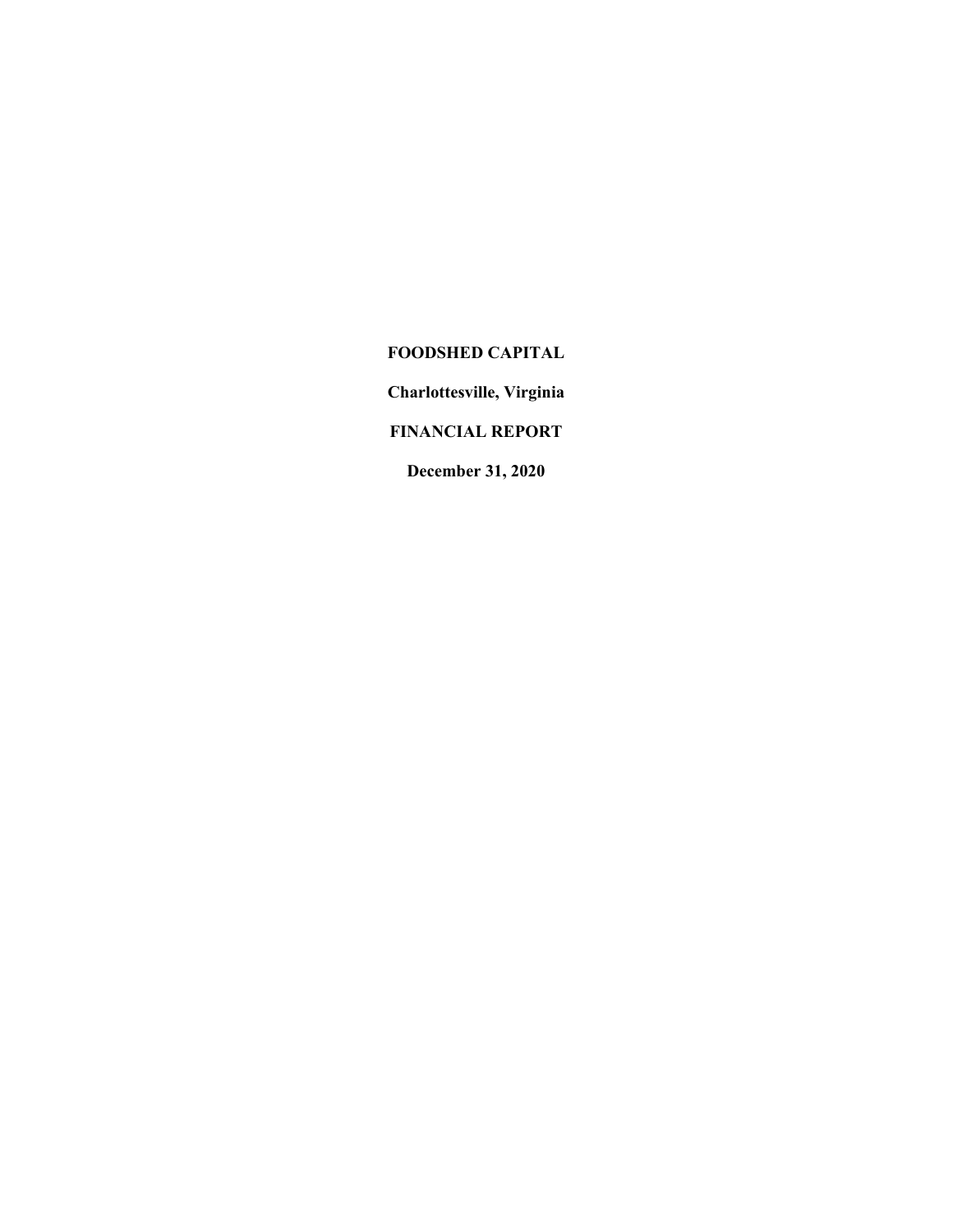**Charlottesville, Virginia** 

**FINANCIAL REPORT** 

**December 31, 2020**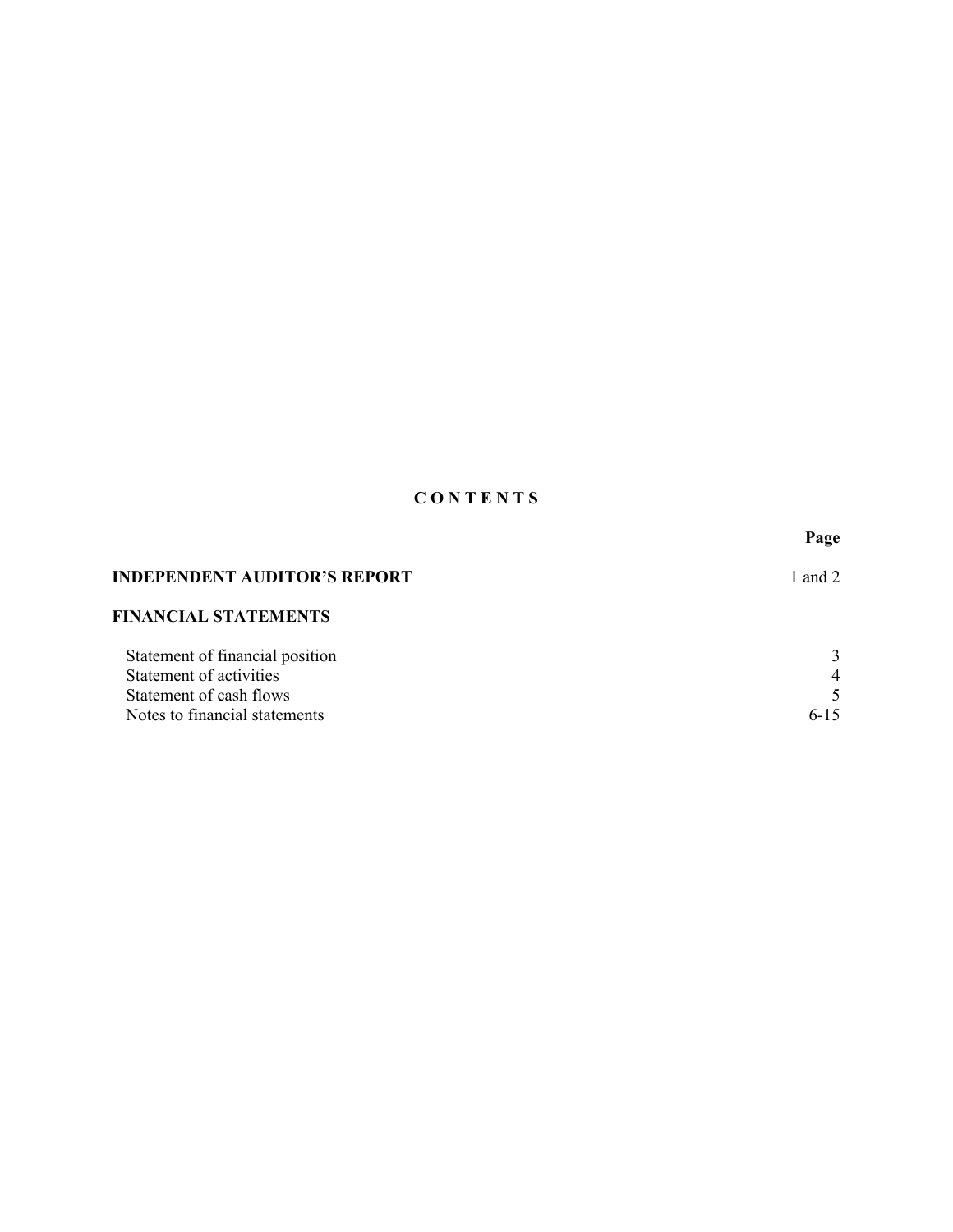# **C O N T E N T S**

|                                     | Page     |
|-------------------------------------|----------|
| <b>INDEPENDENT AUDITOR'S REPORT</b> | 1 and 2  |
| <b>FINANCIAL STATEMENTS</b>         |          |
| Statement of financial position     | 3        |
| Statement of activities             | 4        |
| Statement of cash flows             |          |
| Notes to financial statements       | $6 - 15$ |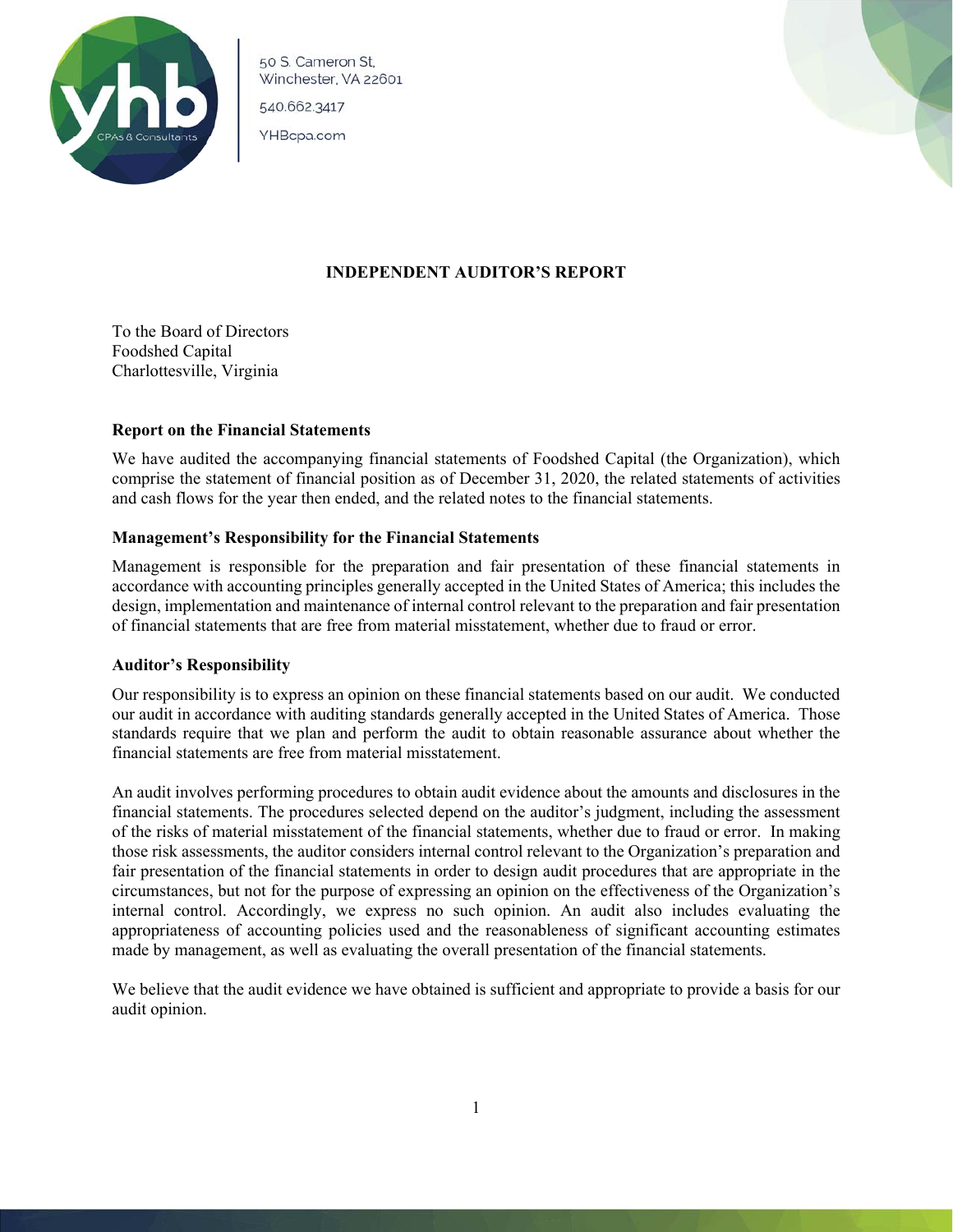

50 S. Cameron St, Winchester, VA 22601

540.662.3417

YHBcpa.com



# **INDEPENDENT AUDITOR'S REPORT**

To the Board of Directors Foodshed Capital Charlottesville, Virginia

## **Report on the Financial Statements**

We have audited the accompanying financial statements of Foodshed Capital (the Organization), which comprise the statement of financial position as of December 31, 2020, the related statements of activities and cash flows for the year then ended, and the related notes to the financial statements.

## **Management's Responsibility for the Financial Statements**

Management is responsible for the preparation and fair presentation of these financial statements in accordance with accounting principles generally accepted in the United States of America; this includes the design, implementation and maintenance of internal control relevant to the preparation and fair presentation of financial statements that are free from material misstatement, whether due to fraud or error.

#### **Auditor's Responsibility**

Our responsibility is to express an opinion on these financial statements based on our audit. We conducted our audit in accordance with auditing standards generally accepted in the United States of America. Those standards require that we plan and perform the audit to obtain reasonable assurance about whether the financial statements are free from material misstatement.

An audit involves performing procedures to obtain audit evidence about the amounts and disclosures in the financial statements. The procedures selected depend on the auditor's judgment, including the assessment of the risks of material misstatement of the financial statements, whether due to fraud or error. In making those risk assessments, the auditor considers internal control relevant to the Organization's preparation and fair presentation of the financial statements in order to design audit procedures that are appropriate in the circumstances, but not for the purpose of expressing an opinion on the effectiveness of the Organization's internal control. Accordingly, we express no such opinion. An audit also includes evaluating the appropriateness of accounting policies used and the reasonableness of significant accounting estimates made by management, as well as evaluating the overall presentation of the financial statements.

We believe that the audit evidence we have obtained is sufficient and appropriate to provide a basis for our audit opinion.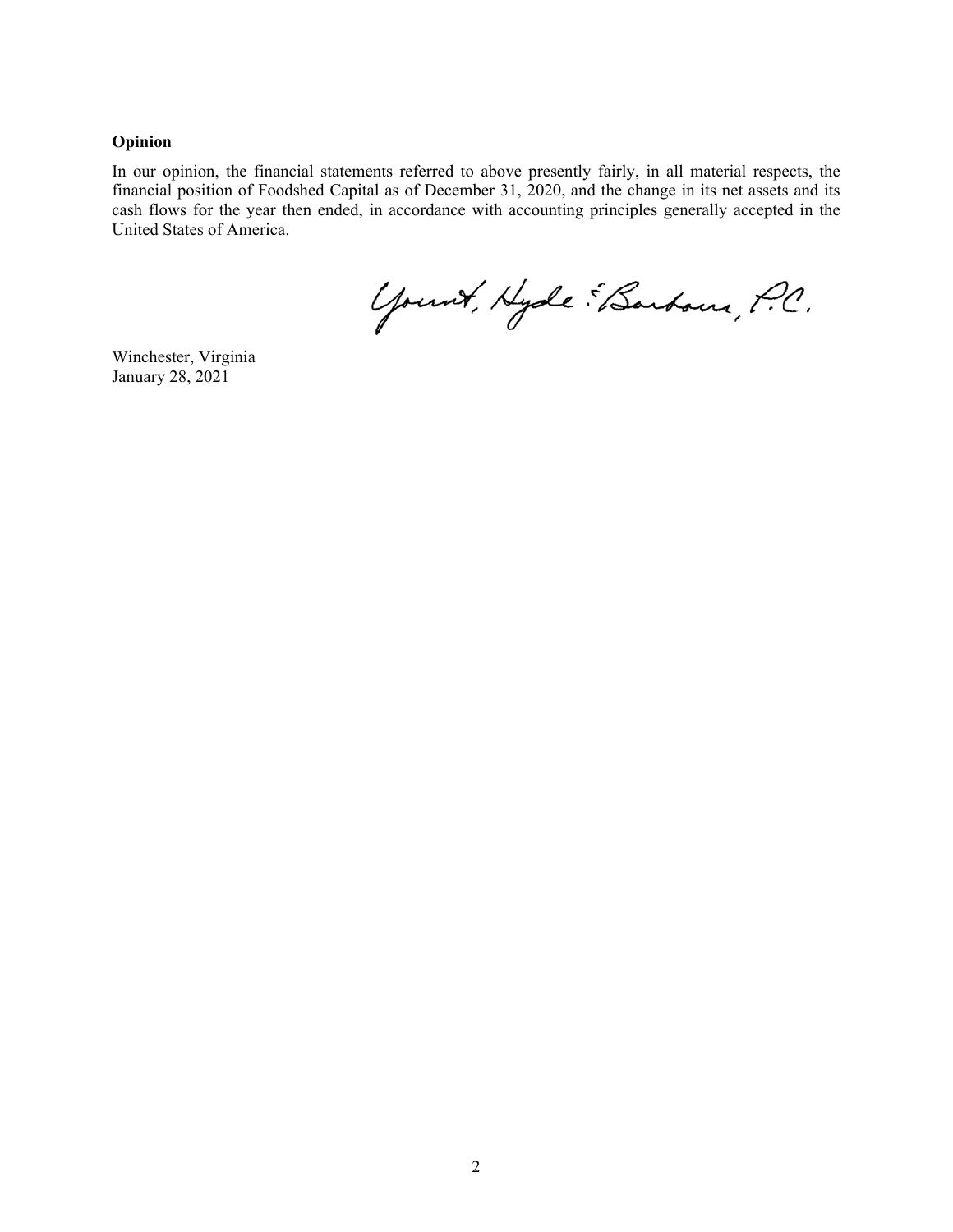## **Opinion**

In our opinion, the financial statements referred to above presently fairly, in all material respects, the financial position of Foodshed Capital as of December 31, 2020, and the change in its net assets and its cash flows for the year then ended, in accordance with accounting principles generally accepted in the United States of America.

Yount, Hyde "Barbour, P.C.

Winchester, Virginia January 28, 2021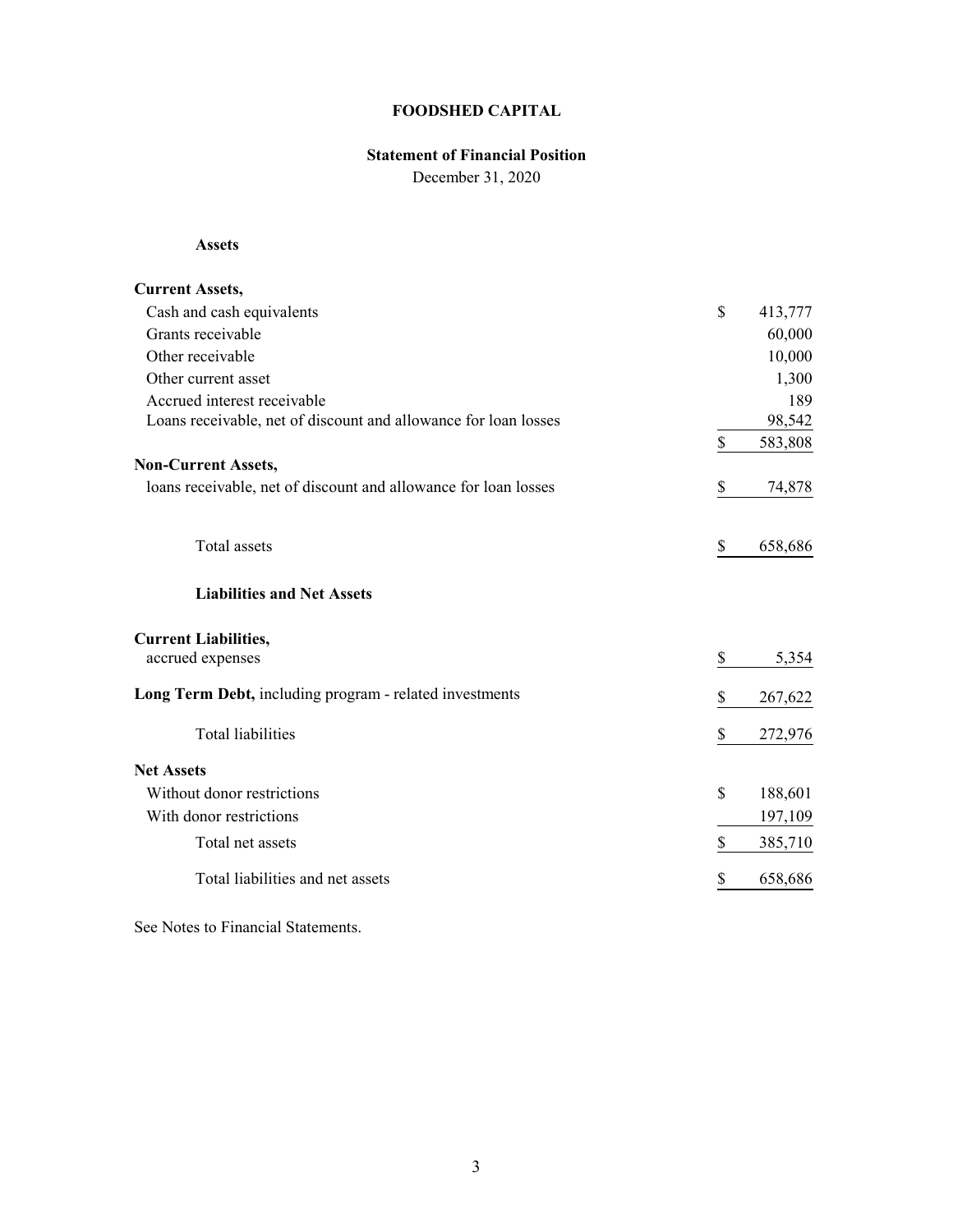# **Statement of Financial Position**

December 31, 2020

# **Assets**

| <b>Current Assets,</b>                                          |               |
|-----------------------------------------------------------------|---------------|
| Cash and cash equivalents                                       | \$<br>413,777 |
| Grants receivable                                               | 60,000        |
| Other receivable                                                | 10,000        |
| Other current asset                                             | 1,300         |
| Accrued interest receivable                                     | 189           |
| Loans receivable, net of discount and allowance for loan losses | 98,542        |
|                                                                 | \$<br>583,808 |
| <b>Non-Current Assets,</b>                                      |               |
| loans receivable, net of discount and allowance for loan losses | \$<br>74,878  |
| Total assets                                                    | \$<br>658,686 |
| <b>Liabilities and Net Assets</b>                               |               |
| <b>Current Liabilities,</b>                                     |               |
| accrued expenses                                                | \$<br>5,354   |
| Long Term Debt, including program - related investments         | \$<br>267,622 |
| <b>Total liabilities</b>                                        | \$<br>272,976 |
| <b>Net Assets</b>                                               |               |
| Without donor restrictions                                      | \$<br>188,601 |
| With donor restrictions                                         | 197,109       |
| Total net assets                                                | \$<br>385,710 |
| Total liabilities and net assets                                | \$<br>658,686 |

See Notes to Financial Statements.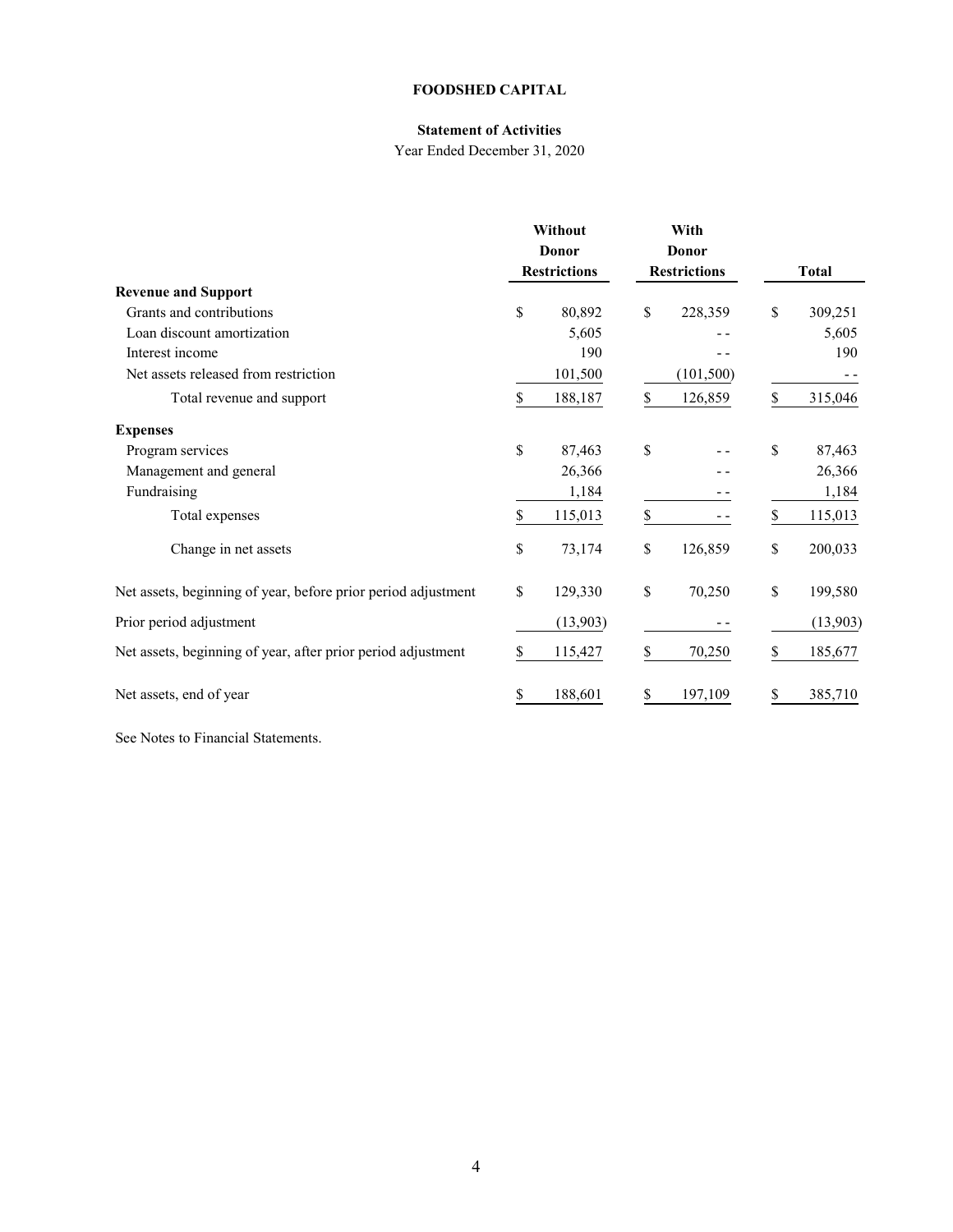# **Statement of Activities**

Year Ended December 31, 2020

|                                                               | Without      |                     | With                |            |               |
|---------------------------------------------------------------|--------------|---------------------|---------------------|------------|---------------|
|                                                               | <b>Donor</b> |                     | Donor               |            |               |
|                                                               |              | <b>Restrictions</b> | <b>Restrictions</b> |            | <b>Total</b>  |
| <b>Revenue and Support</b>                                    |              |                     |                     |            |               |
| Grants and contributions                                      | \$           | 80,892              | \$                  | 228,359    | \$<br>309,251 |
| Loan discount amortization                                    |              | 5,605               |                     |            | 5,605         |
| Interest income                                               |              | 190                 |                     |            | 190           |
| Net assets released from restriction                          |              | 101,500             |                     | (101, 500) |               |
| Total revenue and support                                     | \$           | 188,187             | \$                  | 126,859    | \$<br>315,046 |
| <b>Expenses</b>                                               |              |                     |                     |            |               |
| Program services                                              | \$           | 87,463              | \$                  |            | \$<br>87,463  |
| Management and general                                        |              | 26,366              |                     |            | 26,366        |
| Fundraising                                                   |              | 1,184               |                     |            | 1,184         |
| Total expenses                                                | \$           | 115,013             | \$                  |            | \$<br>115,013 |
| Change in net assets                                          | \$           | 73,174              | \$                  | 126,859    | \$<br>200,033 |
| Net assets, beginning of year, before prior period adjustment | \$           | 129,330             | \$                  | 70,250     | \$<br>199,580 |
| Prior period adjustment                                       |              | (13,903)            |                     |            | (13,903)      |
| Net assets, beginning of year, after prior period adjustment  | \$           | 115,427             | \$                  | 70,250     | \$<br>185,677 |
| Net assets, end of year                                       | \$           | 188,601             | \$                  | 197,109    | \$<br>385,710 |

See Notes to Financial Statements.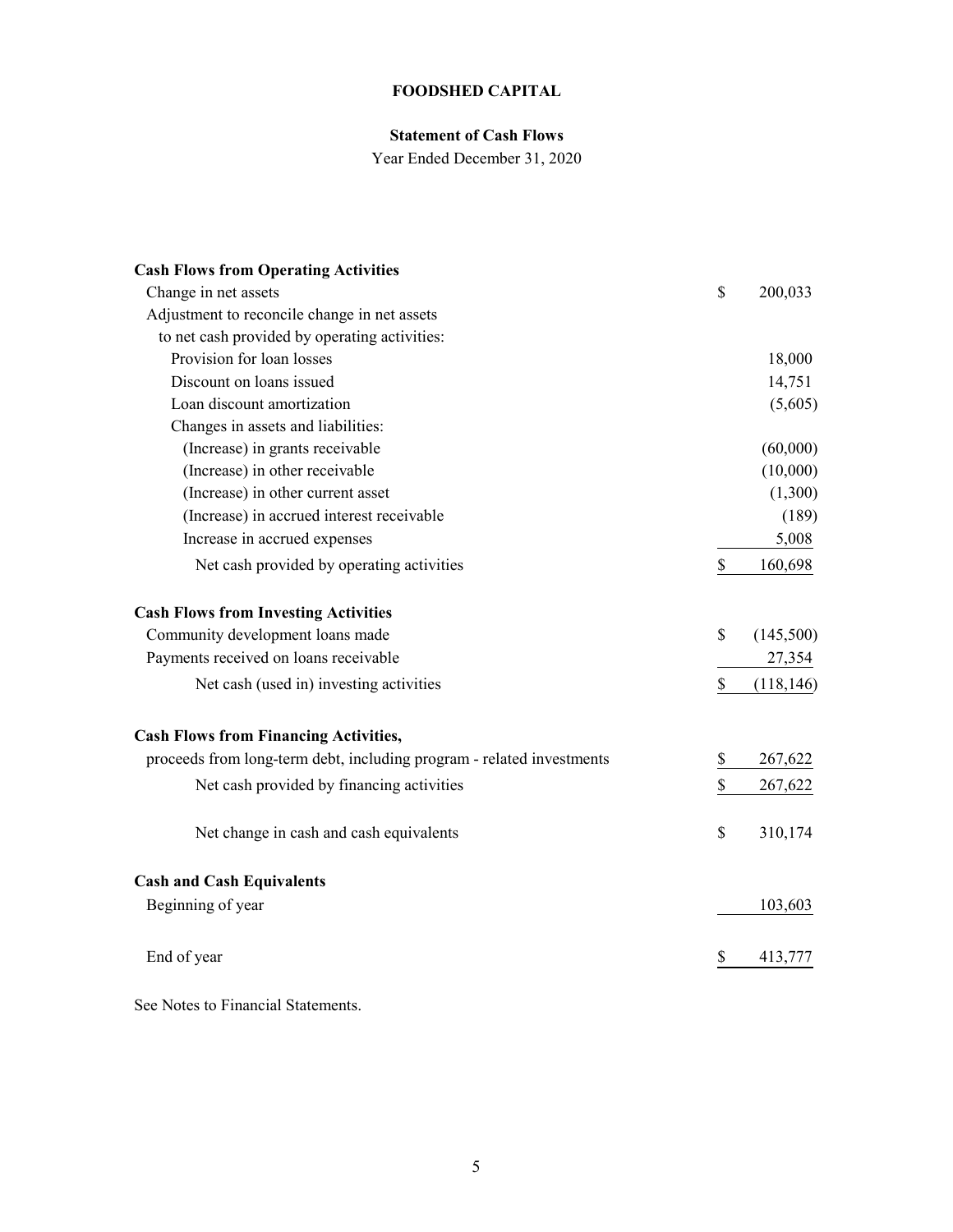# **Statement of Cash Flows**

Year Ended December 31, 2020

| <b>Cash Flows from Operating Activities</b>                           |                  |
|-----------------------------------------------------------------------|------------------|
| Change in net assets                                                  | \$<br>200,033    |
| Adjustment to reconcile change in net assets                          |                  |
| to net cash provided by operating activities:                         |                  |
| Provision for loan losses                                             | 18,000           |
| Discount on loans issued                                              | 14,751           |
| Loan discount amortization                                            | (5,605)          |
| Changes in assets and liabilities:                                    |                  |
| (Increase) in grants receivable                                       | (60,000)         |
| (Increase) in other receivable                                        | (10,000)         |
| (Increase) in other current asset                                     | (1,300)          |
| (Increase) in accrued interest receivable                             | (189)            |
| Increase in accrued expenses                                          | 5,008            |
| Net cash provided by operating activities                             | \$<br>160,698    |
| <b>Cash Flows from Investing Activities</b>                           |                  |
| Community development loans made                                      | \$<br>(145,500)  |
| Payments received on loans receivable                                 | 27,354           |
| Net cash (used in) investing activities                               | \$<br>(118, 146) |
| <b>Cash Flows from Financing Activities,</b>                          |                  |
| proceeds from long-term debt, including program - related investments | \$<br>267,622    |
| Net cash provided by financing activities                             | \$<br>267,622    |
| Net change in cash and cash equivalents                               | \$<br>310,174    |
| <b>Cash and Cash Equivalents</b>                                      |                  |
| Beginning of year                                                     | 103,603          |
| End of year                                                           | \$<br>413,777    |

See Notes to Financial Statements.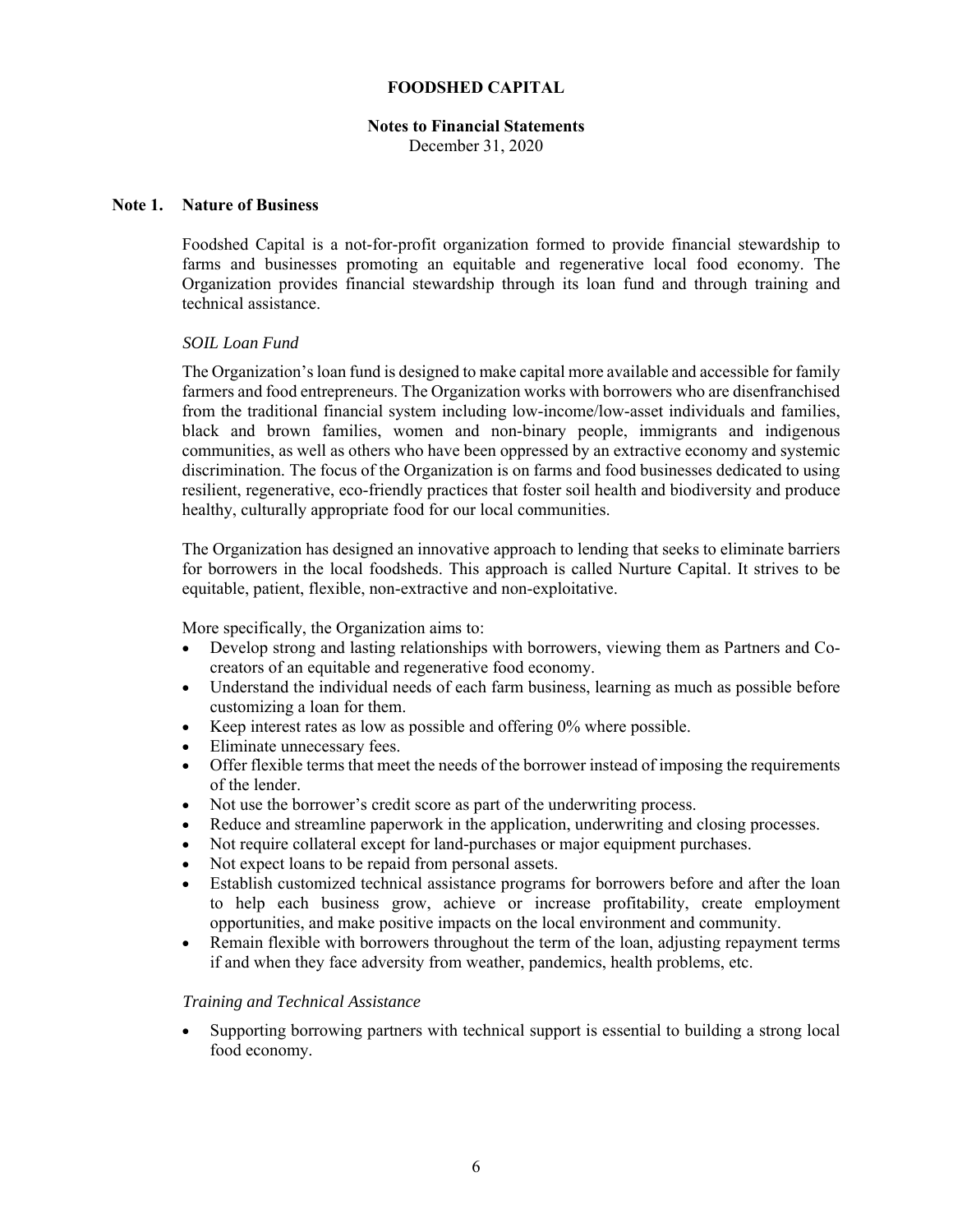## **Notes to Financial Statements**

December 31, 2020

## **Note 1. Nature of Business**

Foodshed Capital is a not-for-profit organization formed to provide financial stewardship to farms and businesses promoting an equitable and regenerative local food economy. The Organization provides financial stewardship through its loan fund and through training and technical assistance.

## *SOIL Loan Fund*

The Organization's loan fund is designed to make capital more available and accessible for family farmers and food entrepreneurs. The Organization works with borrowers who are disenfranchised from the traditional financial system including low-income/low-asset individuals and families, black and brown families, women and non-binary people, immigrants and indigenous communities, as well as others who have been oppressed by an extractive economy and systemic discrimination. The focus of the Organization is on farms and food businesses dedicated to using resilient, regenerative, eco-friendly practices that foster soil health and biodiversity and produce healthy, culturally appropriate food for our local communities.

The Organization has designed an innovative approach to lending that seeks to eliminate barriers for borrowers in the local foodsheds. This approach is called Nurture Capital. It strives to be equitable, patient, flexible, non-extractive and non-exploitative.

More specifically, the Organization aims to:

- Develop strong and lasting relationships with borrowers, viewing them as Partners and Cocreators of an equitable and regenerative food economy.
- Understand the individual needs of each farm business, learning as much as possible before customizing a loan for them.
- Keep interest rates as low as possible and offering 0% where possible.
- Eliminate unnecessary fees.
- Offer flexible terms that meet the needs of the borrower instead of imposing the requirements of the lender.
- Not use the borrower's credit score as part of the underwriting process.
- Reduce and streamline paperwork in the application, underwriting and closing processes.
- Not require collateral except for land-purchases or major equipment purchases.
- Not expect loans to be repaid from personal assets.
- Establish customized technical assistance programs for borrowers before and after the loan to help each business grow, achieve or increase profitability, create employment opportunities, and make positive impacts on the local environment and community.
- Remain flexible with borrowers throughout the term of the loan, adjusting repayment terms if and when they face adversity from weather, pandemics, health problems, etc.

### *Training and Technical Assistance*

 Supporting borrowing partners with technical support is essential to building a strong local food economy.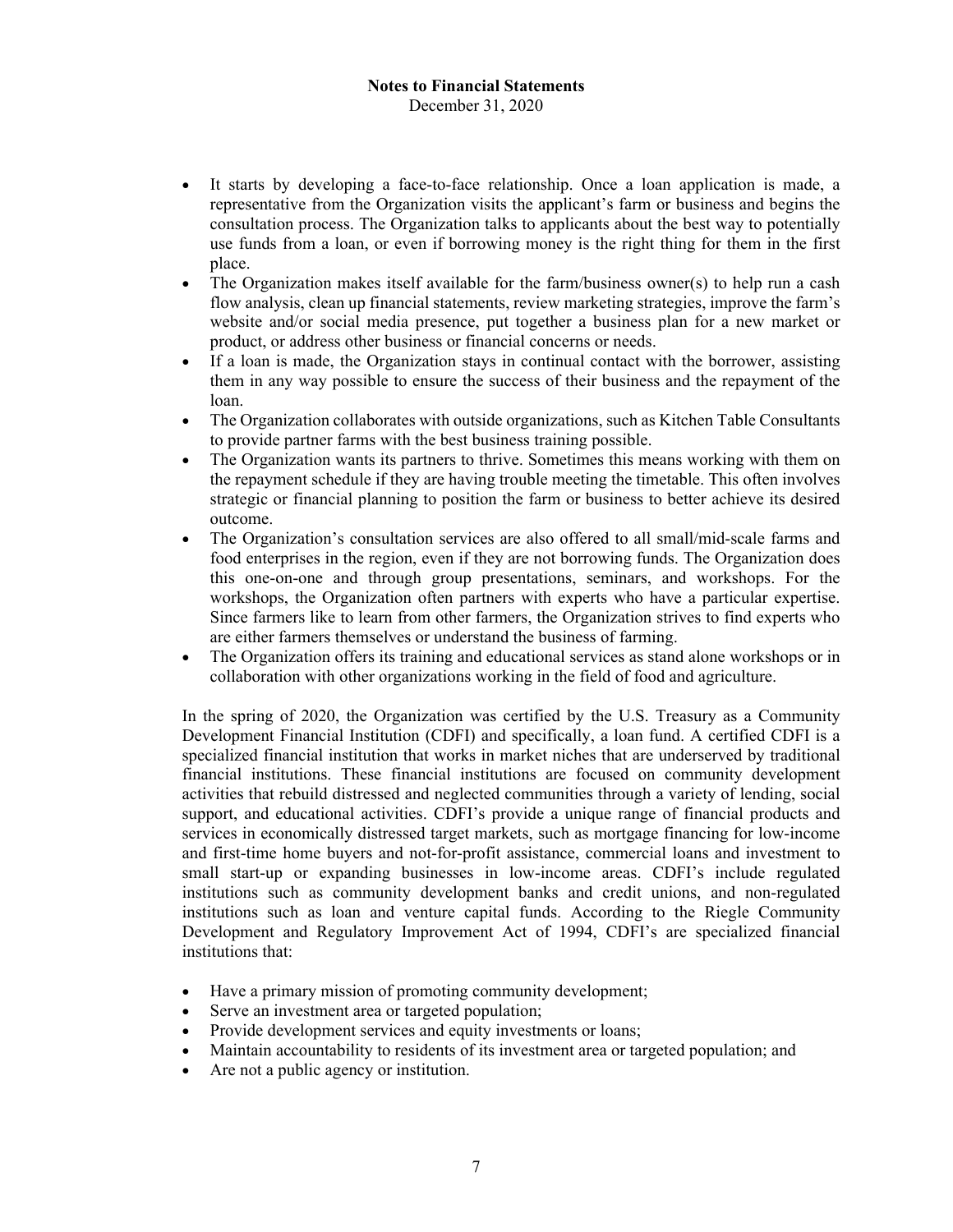- It starts by developing a face-to-face relationship. Once a loan application is made, a representative from the Organization visits the applicant's farm or business and begins the consultation process. The Organization talks to applicants about the best way to potentially use funds from a loan, or even if borrowing money is the right thing for them in the first place.
- The Organization makes itself available for the farm/business owner(s) to help run a cash flow analysis, clean up financial statements, review marketing strategies, improve the farm's website and/or social media presence, put together a business plan for a new market or product, or address other business or financial concerns or needs.
- If a loan is made, the Organization stays in continual contact with the borrower, assisting them in any way possible to ensure the success of their business and the repayment of the loan.
- The Organization collaborates with outside organizations, such as Kitchen Table Consultants to provide partner farms with the best business training possible.
- The Organization wants its partners to thrive. Sometimes this means working with them on the repayment schedule if they are having trouble meeting the timetable. This often involves strategic or financial planning to position the farm or business to better achieve its desired outcome.
- The Organization's consultation services are also offered to all small/mid-scale farms and food enterprises in the region, even if they are not borrowing funds. The Organization does this one-on-one and through group presentations, seminars, and workshops. For the workshops, the Organization often partners with experts who have a particular expertise. Since farmers like to learn from other farmers, the Organization strives to find experts who are either farmers themselves or understand the business of farming.
- The Organization offers its training and educational services as stand alone workshops or in collaboration with other organizations working in the field of food and agriculture.

In the spring of 2020, the Organization was certified by the U.S. Treasury as a Community Development Financial Institution (CDFI) and specifically, a loan fund. A certified CDFI is a specialized financial institution that works in market niches that are underserved by traditional financial institutions. These financial institutions are focused on community development activities that rebuild distressed and neglected communities through a variety of lending, social support, and educational activities. CDFI's provide a unique range of financial products and services in economically distressed target markets, such as mortgage financing for low-income and first-time home buyers and not-for-profit assistance, commercial loans and investment to small start-up or expanding businesses in low-income areas. CDFI's include regulated institutions such as community development banks and credit unions, and non-regulated institutions such as loan and venture capital funds. According to the Riegle Community Development and Regulatory Improvement Act of 1994, CDFI's are specialized financial institutions that:

- Have a primary mission of promoting community development;
- Serve an investment area or targeted population;
- Provide development services and equity investments or loans;
- Maintain accountability to residents of its investment area or targeted population; and
- Are not a public agency or institution.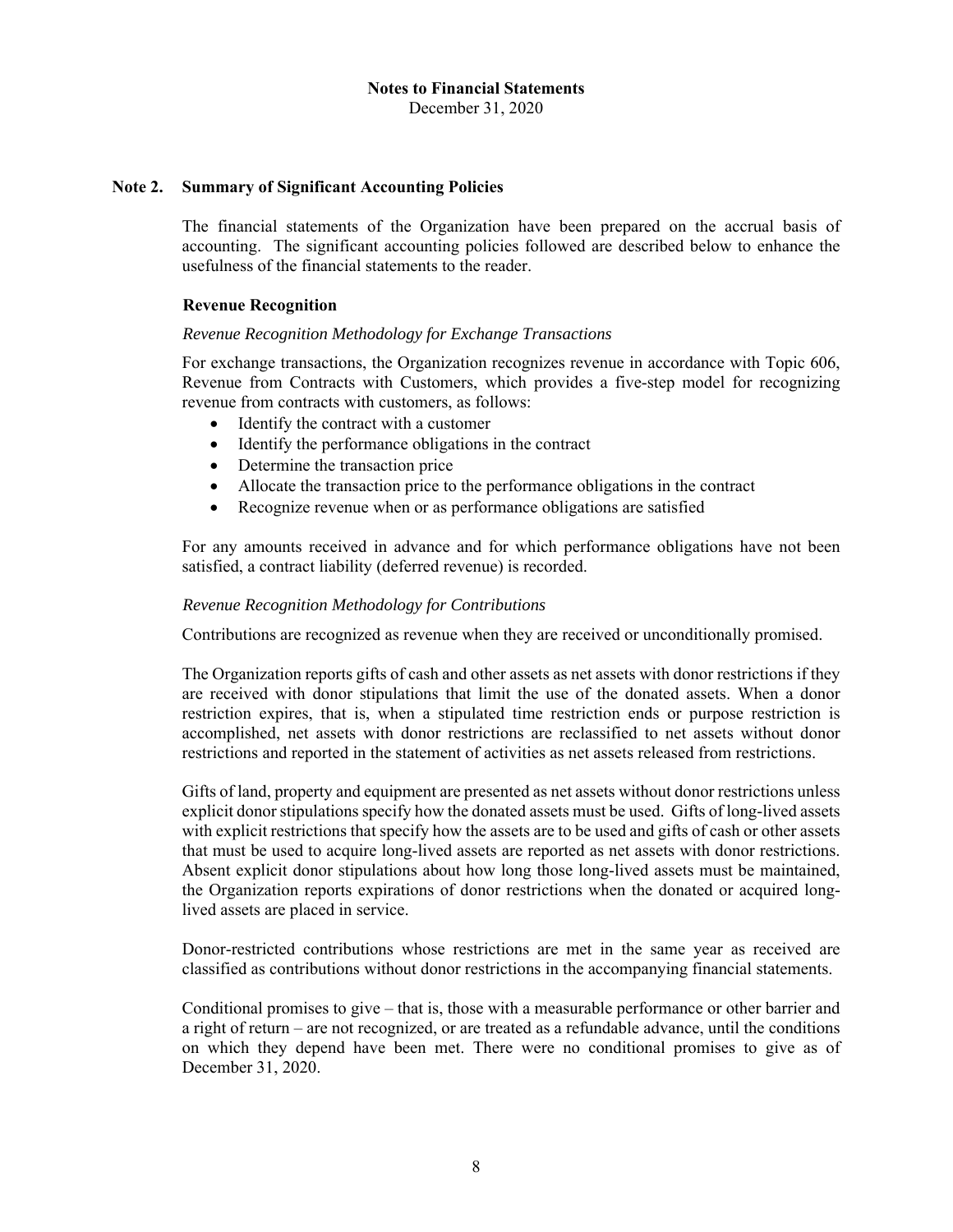### **Note 2. Summary of Significant Accounting Policies**

The financial statements of the Organization have been prepared on the accrual basis of accounting. The significant accounting policies followed are described below to enhance the usefulness of the financial statements to the reader.

### **Revenue Recognition**

#### *Revenue Recognition Methodology for Exchange Transactions*

For exchange transactions, the Organization recognizes revenue in accordance with Topic 606, Revenue from Contracts with Customers, which provides a five-step model for recognizing revenue from contracts with customers, as follows:

- Identify the contract with a customer
- Identify the performance obligations in the contract
- Determine the transaction price
- Allocate the transaction price to the performance obligations in the contract
- Recognize revenue when or as performance obligations are satisfied

For any amounts received in advance and for which performance obligations have not been satisfied, a contract liability (deferred revenue) is recorded.

#### *Revenue Recognition Methodology for Contributions*

Contributions are recognized as revenue when they are received or unconditionally promised.

The Organization reports gifts of cash and other assets as net assets with donor restrictions if they are received with donor stipulations that limit the use of the donated assets. When a donor restriction expires, that is, when a stipulated time restriction ends or purpose restriction is accomplished, net assets with donor restrictions are reclassified to net assets without donor restrictions and reported in the statement of activities as net assets released from restrictions.

Gifts of land, property and equipment are presented as net assets without donor restrictions unless explicit donor stipulations specify how the donated assets must be used. Gifts of long-lived assets with explicit restrictions that specify how the assets are to be used and gifts of cash or other assets that must be used to acquire long-lived assets are reported as net assets with donor restrictions. Absent explicit donor stipulations about how long those long-lived assets must be maintained, the Organization reports expirations of donor restrictions when the donated or acquired longlived assets are placed in service.

Donor-restricted contributions whose restrictions are met in the same year as received are classified as contributions without donor restrictions in the accompanying financial statements.

Conditional promises to give – that is, those with a measurable performance or other barrier and a right of return – are not recognized, or are treated as a refundable advance, until the conditions on which they depend have been met. There were no conditional promises to give as of December 31, 2020.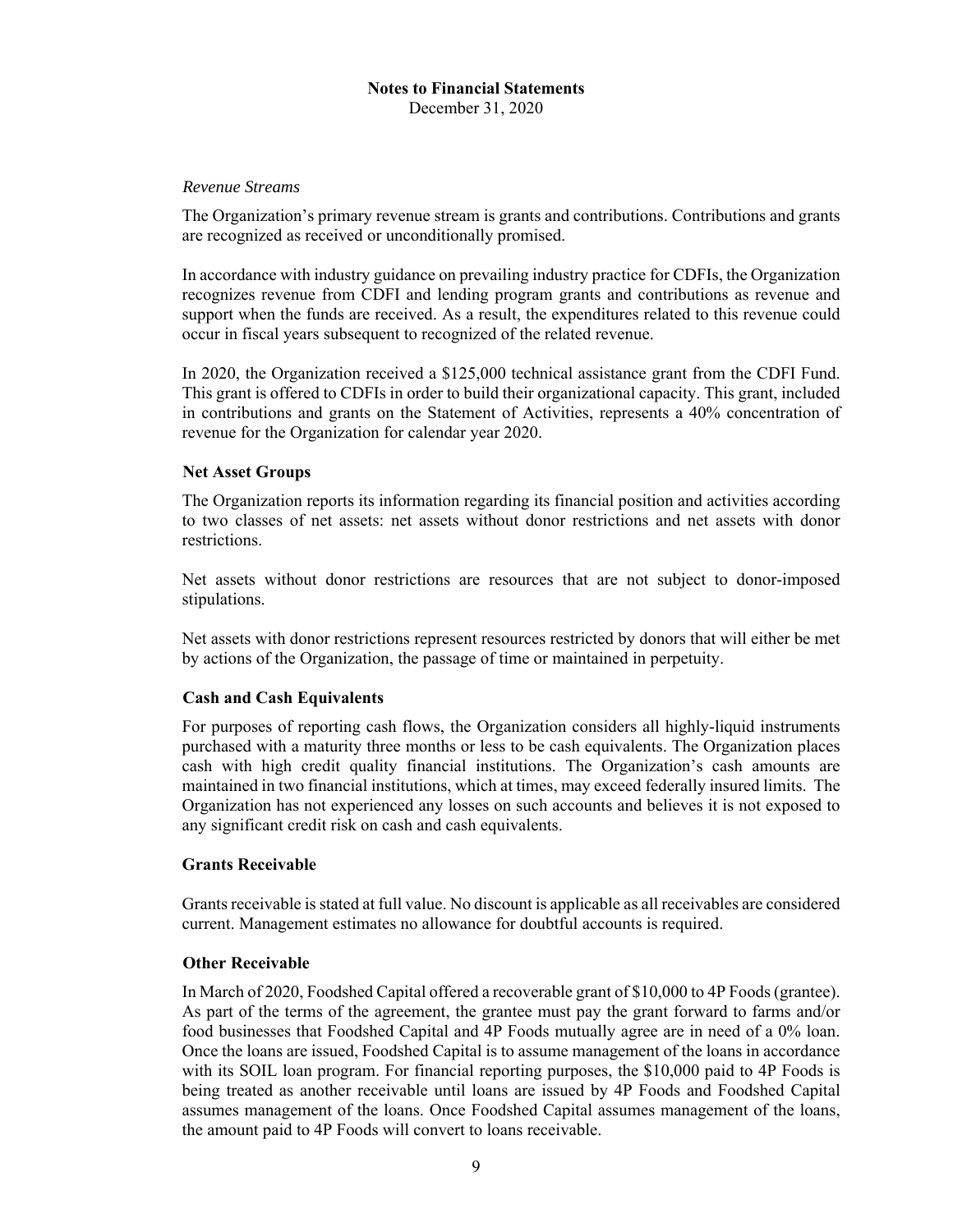### *Revenue Streams*

The Organization's primary revenue stream is grants and contributions. Contributions and grants are recognized as received or unconditionally promised.

In accordance with industry guidance on prevailing industry practice for CDFIs, the Organization recognizes revenue from CDFI and lending program grants and contributions as revenue and support when the funds are received. As a result, the expenditures related to this revenue could occur in fiscal years subsequent to recognized of the related revenue.

In 2020, the Organization received a \$125,000 technical assistance grant from the CDFI Fund. This grant is offered to CDFIs in order to build their organizational capacity. This grant, included in contributions and grants on the Statement of Activities, represents a 40% concentration of revenue for the Organization for calendar year 2020.

# **Net Asset Groups**

The Organization reports its information regarding its financial position and activities according to two classes of net assets: net assets without donor restrictions and net assets with donor restrictions.

Net assets without donor restrictions are resources that are not subject to donor-imposed stipulations.

Net assets with donor restrictions represent resources restricted by donors that will either be met by actions of the Organization, the passage of time or maintained in perpetuity.

# **Cash and Cash Equivalents**

For purposes of reporting cash flows, the Organization considers all highly-liquid instruments purchased with a maturity three months or less to be cash equivalents. The Organization places cash with high credit quality financial institutions. The Organization's cash amounts are maintained in two financial institutions, which at times, may exceed federally insured limits. The Organization has not experienced any losses on such accounts and believes it is not exposed to any significant credit risk on cash and cash equivalents.

# **Grants Receivable**

Grants receivable is stated at full value. No discount is applicable as all receivables are considered current. Management estimates no allowance for doubtful accounts is required.

# **Other Receivable**

In March of 2020, Foodshed Capital offered a recoverable grant of \$10,000 to 4P Foods (grantee). As part of the terms of the agreement, the grantee must pay the grant forward to farms and/or food businesses that Foodshed Capital and 4P Foods mutually agree are in need of a 0% loan. Once the loans are issued, Foodshed Capital is to assume management of the loans in accordance with its SOIL loan program. For financial reporting purposes, the \$10,000 paid to 4P Foods is being treated as another receivable until loans are issued by 4P Foods and Foodshed Capital assumes management of the loans. Once Foodshed Capital assumes management of the loans, the amount paid to 4P Foods will convert to loans receivable.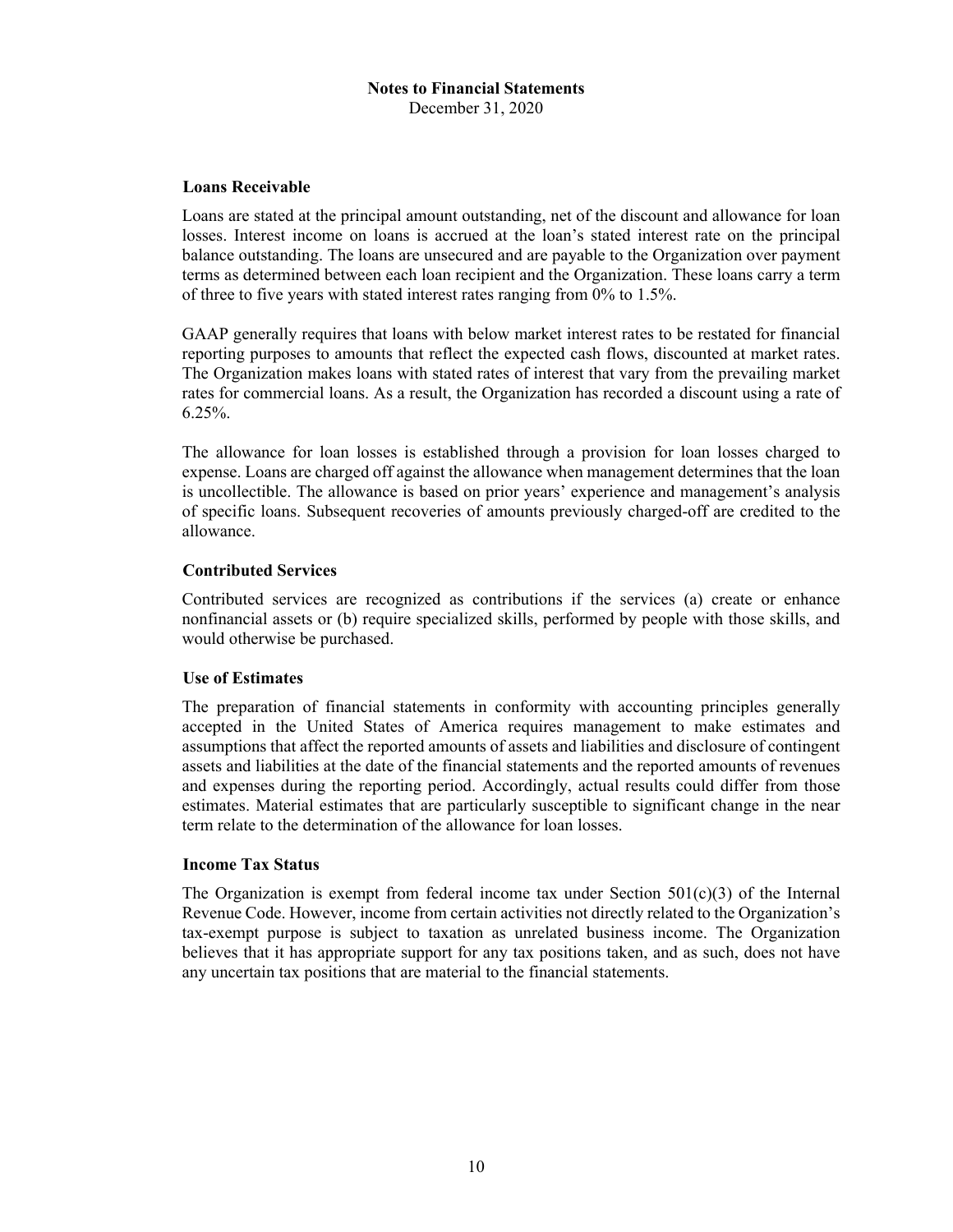### **Loans Receivable**

Loans are stated at the principal amount outstanding, net of the discount and allowance for loan losses. Interest income on loans is accrued at the loan's stated interest rate on the principal balance outstanding. The loans are unsecured and are payable to the Organization over payment terms as determined between each loan recipient and the Organization. These loans carry a term of three to five years with stated interest rates ranging from 0% to 1.5%.

GAAP generally requires that loans with below market interest rates to be restated for financial reporting purposes to amounts that reflect the expected cash flows, discounted at market rates. The Organization makes loans with stated rates of interest that vary from the prevailing market rates for commercial loans. As a result, the Organization has recorded a discount using a rate of 6.25%.

The allowance for loan losses is established through a provision for loan losses charged to expense. Loans are charged off against the allowance when management determines that the loan is uncollectible. The allowance is based on prior years' experience and management's analysis of specific loans. Subsequent recoveries of amounts previously charged-off are credited to the allowance.

# **Contributed Services**

Contributed services are recognized as contributions if the services (a) create or enhance nonfinancial assets or (b) require specialized skills, performed by people with those skills, and would otherwise be purchased.

# **Use of Estimates**

The preparation of financial statements in conformity with accounting principles generally accepted in the United States of America requires management to make estimates and assumptions that affect the reported amounts of assets and liabilities and disclosure of contingent assets and liabilities at the date of the financial statements and the reported amounts of revenues and expenses during the reporting period. Accordingly, actual results could differ from those estimates. Material estimates that are particularly susceptible to significant change in the near term relate to the determination of the allowance for loan losses.

# **Income Tax Status**

The Organization is exempt from federal income tax under Section  $501(c)(3)$  of the Internal Revenue Code. However, income from certain activities not directly related to the Organization's tax-exempt purpose is subject to taxation as unrelated business income. The Organization believes that it has appropriate support for any tax positions taken, and as such, does not have any uncertain tax positions that are material to the financial statements.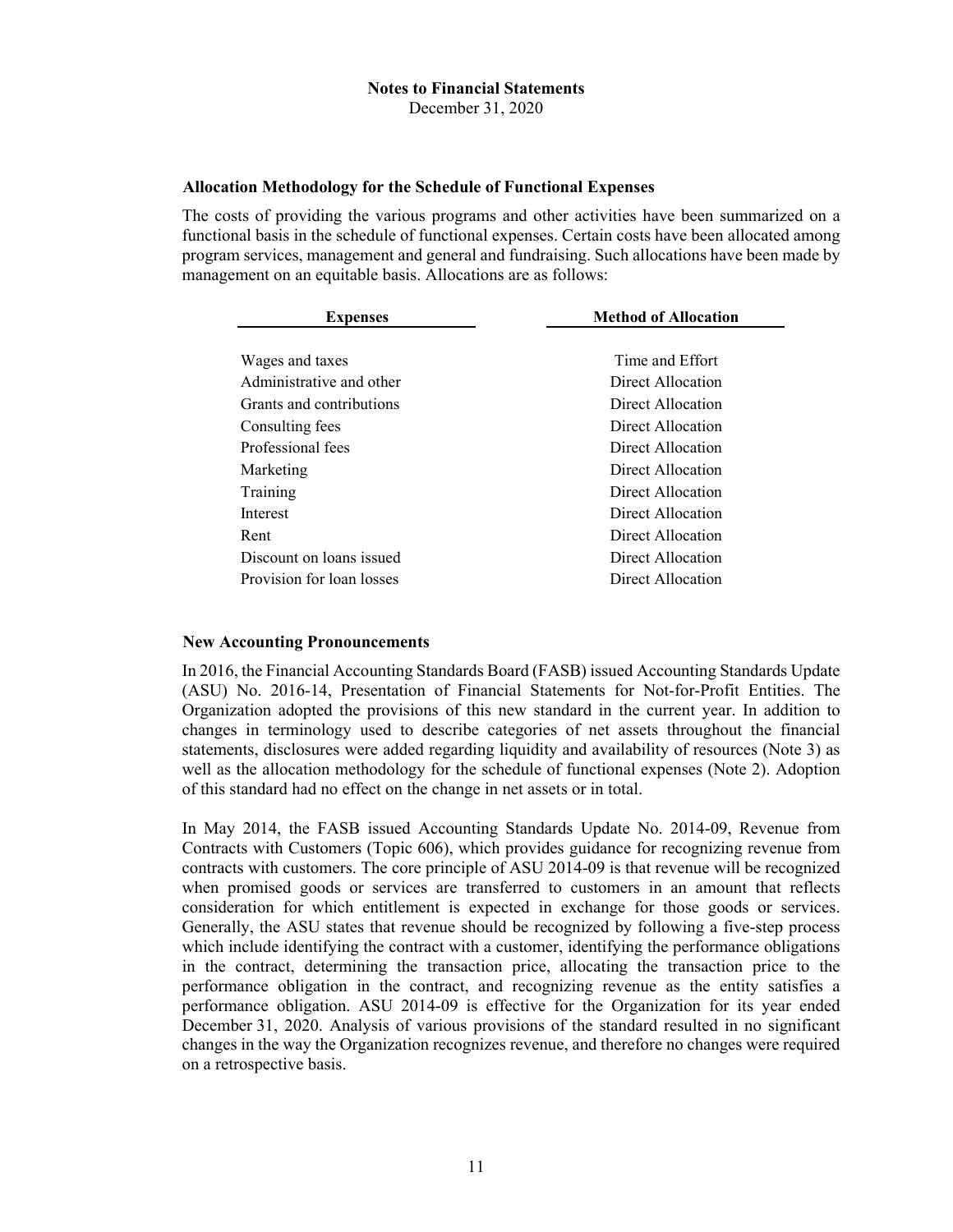#### **Allocation Methodology for the Schedule of Functional Expenses**

The costs of providing the various programs and other activities have been summarized on a functional basis in the schedule of functional expenses. Certain costs have been allocated among program services, management and general and fundraising. Such allocations have been made by management on an equitable basis. Allocations are as follows:

| <b>Expenses</b>           | <b>Method of Allocation</b> |
|---------------------------|-----------------------------|
|                           |                             |
| Wages and taxes           | Time and Effort             |
| Administrative and other  | Direct Allocation           |
| Grants and contributions  | Direct Allocation           |
| Consulting fees           | Direct Allocation           |
| Professional fees         | Direct Allocation           |
| Marketing                 | Direct Allocation           |
| Training                  | Direct Allocation           |
| Interest                  | Direct Allocation           |
| Rent                      | Direct Allocation           |
| Discount on loans issued  | Direct Allocation           |
| Provision for loan losses | Direct Allocation           |

## **New Accounting Pronouncements**

In 2016, the Financial Accounting Standards Board (FASB) issued Accounting Standards Update (ASU) No. 2016-14, Presentation of Financial Statements for Not-for-Profit Entities. The Organization adopted the provisions of this new standard in the current year. In addition to changes in terminology used to describe categories of net assets throughout the financial statements, disclosures were added regarding liquidity and availability of resources (Note 3) as well as the allocation methodology for the schedule of functional expenses (Note 2). Adoption of this standard had no effect on the change in net assets or in total.

In May 2014, the FASB issued Accounting Standards Update No. 2014-09, Revenue from Contracts with Customers (Topic 606), which provides guidance for recognizing revenue from contracts with customers. The core principle of ASU 2014-09 is that revenue will be recognized when promised goods or services are transferred to customers in an amount that reflects consideration for which entitlement is expected in exchange for those goods or services. Generally, the ASU states that revenue should be recognized by following a five-step process which include identifying the contract with a customer, identifying the performance obligations in the contract, determining the transaction price, allocating the transaction price to the performance obligation in the contract, and recognizing revenue as the entity satisfies a performance obligation. ASU 2014-09 is effective for the Organization for its year ended December 31, 2020. Analysis of various provisions of the standard resulted in no significant changes in the way the Organization recognizes revenue, and therefore no changes were required on a retrospective basis.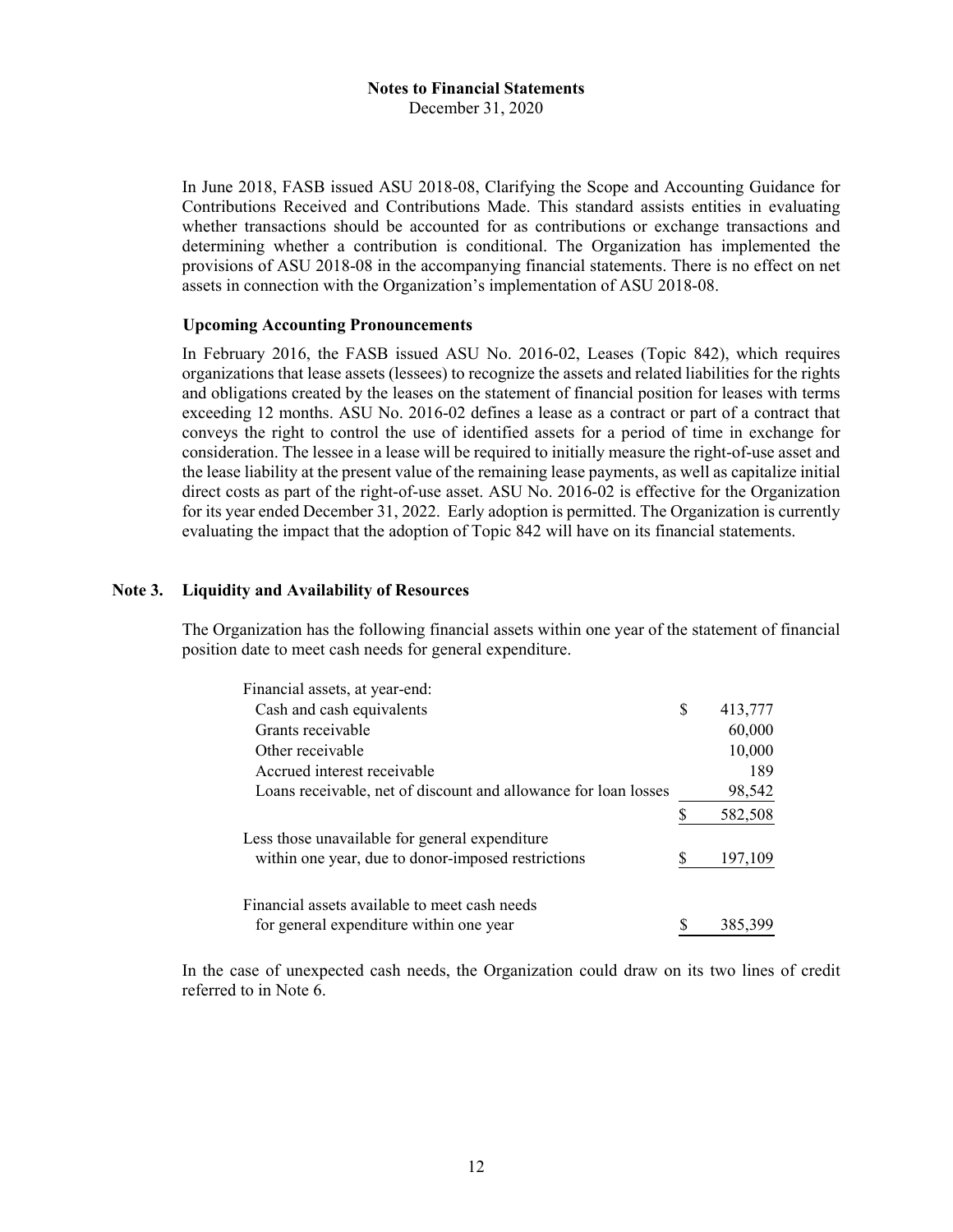In June 2018, FASB issued ASU 2018-08, Clarifying the Scope and Accounting Guidance for Contributions Received and Contributions Made. This standard assists entities in evaluating whether transactions should be accounted for as contributions or exchange transactions and determining whether a contribution is conditional. The Organization has implemented the provisions of ASU 2018-08 in the accompanying financial statements. There is no effect on net assets in connection with the Organization's implementation of ASU 2018-08.

## **Upcoming Accounting Pronouncements**

In February 2016, the FASB issued ASU No. 2016-02, Leases (Topic 842), which requires organizations that lease assets (lessees) to recognize the assets and related liabilities for the rights and obligations created by the leases on the statement of financial position for leases with terms exceeding 12 months. ASU No. 2016-02 defines a lease as a contract or part of a contract that conveys the right to control the use of identified assets for a period of time in exchange for consideration. The lessee in a lease will be required to initially measure the right-of-use asset and the lease liability at the present value of the remaining lease payments, as well as capitalize initial direct costs as part of the right-of-use asset. ASU No. 2016-02 is effective for the Organization for its year ended December 31, 2022. Early adoption is permitted. The Organization is currently evaluating the impact that the adoption of Topic 842 will have on its financial statements.

## **Note 3. Liquidity and Availability of Resources**

The Organization has the following financial assets within one year of the statement of financial position date to meet cash needs for general expenditure.

| Financial assets, at year-end:                                  |   |         |
|-----------------------------------------------------------------|---|---------|
| Cash and cash equivalents                                       | S | 413,777 |
| Grants receivable                                               |   | 60,000  |
| Other receivable                                                |   | 10,000  |
| Accrued interest receivable                                     |   | 189     |
| Loans receivable, net of discount and allowance for loan losses |   | 98,542  |
|                                                                 |   | 582,508 |
| Less those unavailable for general expenditure                  |   |         |
| within one year, due to donor-imposed restrictions              |   | 197,109 |
| Financial assets available to meet cash needs                   |   |         |
| for general expenditure within one year                         |   | 385,399 |

In the case of unexpected cash needs, the Organization could draw on its two lines of credit referred to in Note 6.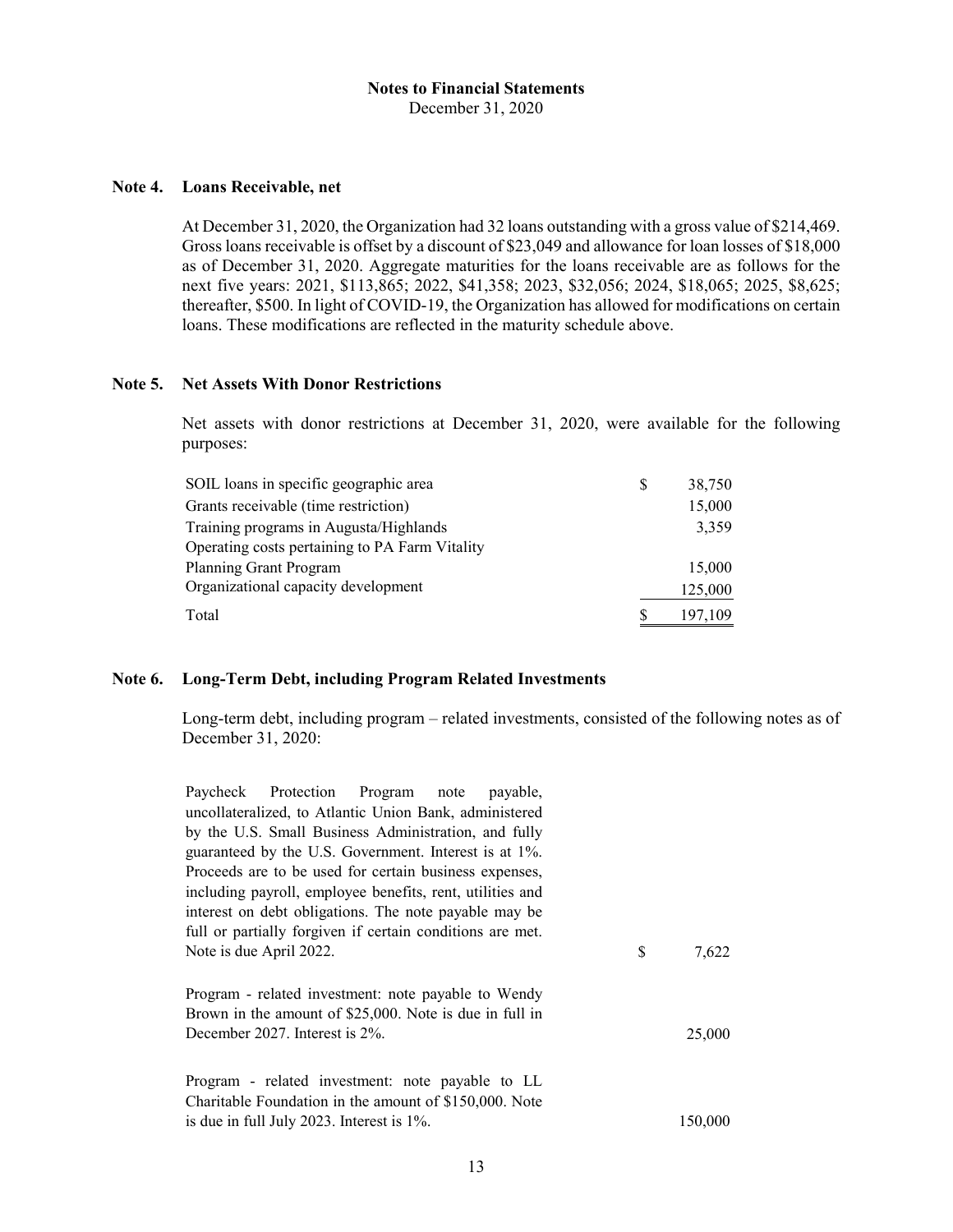#### **Note 4. Loans Receivable, net**

At December 31, 2020, the Organization had 32 loans outstanding with a gross value of \$214,469. Gross loans receivable is offset by a discount of \$23,049 and allowance for loan losses of \$18,000 as of December 31, 2020. Aggregate maturities for the loans receivable are as follows for the next five years: 2021, \$113,865; 2022, \$41,358; 2023, \$32,056; 2024, \$18,065; 2025, \$8,625; thereafter, \$500. In light of COVID-19, the Organization has allowed for modifications on certain loans. These modifications are reflected in the maturity schedule above.

## **Note 5. Net Assets With Donor Restrictions**

Net assets with donor restrictions at December 31, 2020, were available for the following purposes:

| SOIL loans in specific geographic area         | S | 38,750  |
|------------------------------------------------|---|---------|
| Grants receivable (time restriction)           |   | 15,000  |
| Training programs in Augusta/Highlands         |   | 3,359   |
| Operating costs pertaining to PA Farm Vitality |   |         |
| Planning Grant Program                         |   | 15,000  |
| Organizational capacity development            |   | 125,000 |
| Total                                          |   | 197,109 |
|                                                |   |         |

## **Note 6. Long-Term Debt, including Program Related Investments**

Long-term debt, including program – related investments, consisted of the following notes as of December 31, 2020:

| Paycheck Protection Program note payable,                 |  |  |    |         |
|-----------------------------------------------------------|--|--|----|---------|
| uncollateralized, to Atlantic Union Bank, administered    |  |  |    |         |
| by the U.S. Small Business Administration, and fully      |  |  |    |         |
| guaranteed by the U.S. Government. Interest is at 1%.     |  |  |    |         |
| Proceeds are to be used for certain business expenses,    |  |  |    |         |
| including payroll, employee benefits, rent, utilities and |  |  |    |         |
| interest on debt obligations. The note payable may be     |  |  |    |         |
| full or partially forgiven if certain conditions are met. |  |  |    |         |
| Note is due April 2022.                                   |  |  | \$ | 7,622   |
|                                                           |  |  |    |         |
| Program - related investment: note payable to Wendy       |  |  |    |         |
| Brown in the amount of \$25,000. Note is due in full in   |  |  |    |         |
| December 2027. Interest is 2%.                            |  |  |    | 25,000  |
|                                                           |  |  |    |         |
| Program - related investment: note payable to LL          |  |  |    |         |
| Charitable Foundation in the amount of \$150,000. Note    |  |  |    |         |
| is due in full July 2023. Interest is 1%.                 |  |  |    | 150,000 |
|                                                           |  |  |    |         |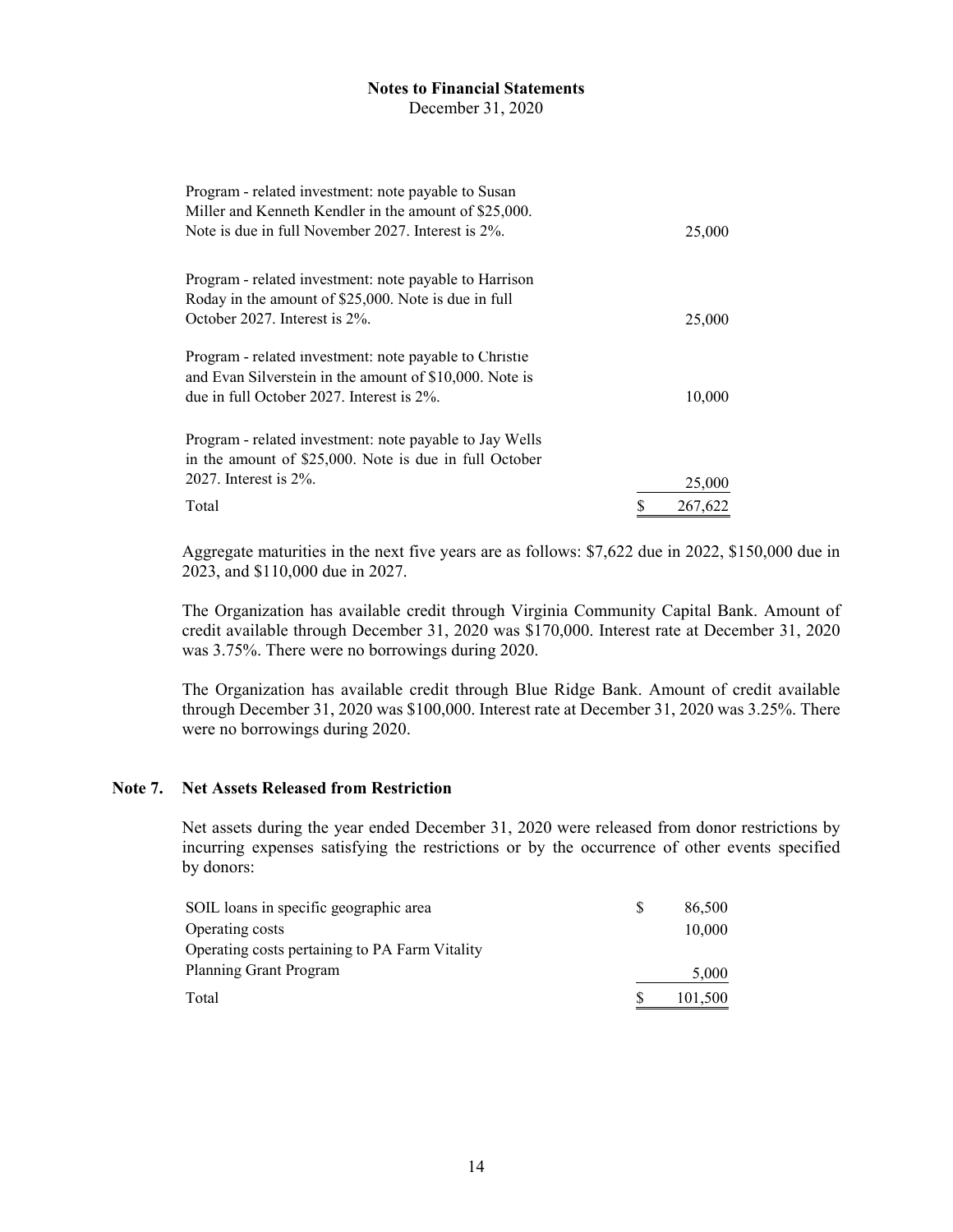| Program - related investment: note payable to Susan     |         |
|---------------------------------------------------------|---------|
| Miller and Kenneth Kendler in the amount of \$25,000.   |         |
| Note is due in full November 2027. Interest is 2%.      | 25,000  |
| Program - related investment: note payable to Harrison  |         |
| Roday in the amount of \$25,000. Note is due in full    |         |
| October 2027. Interest is 2%.                           | 25,000  |
| Program - related investment: note payable to Christie  |         |
| and Evan Silverstein in the amount of \$10,000. Note is |         |
| due in full October 2027. Interest is 2%.               | 10,000  |
| Program - related investment: note payable to Jay Wells |         |
| in the amount of \$25,000. Note is due in full October  |         |
| $2027$ . Interest is $2\%$ .                            | 25,000  |
| Total                                                   | 267,622 |

Aggregate maturities in the next five years are as follows: \$7,622 due in 2022, \$150,000 due in 2023, and \$110,000 due in 2027.

The Organization has available credit through Virginia Community Capital Bank. Amount of credit available through December 31, 2020 was \$170,000. Interest rate at December 31, 2020 was 3.75%. There were no borrowings during 2020.

The Organization has available credit through Blue Ridge Bank. Amount of credit available through December 31, 2020 was \$100,000. Interest rate at December 31, 2020 was 3.25%. There were no borrowings during 2020.

# **Note 7. Net Assets Released from Restriction**

Net assets during the year ended December 31, 2020 were released from donor restrictions by incurring expenses satisfying the restrictions or by the occurrence of other events specified by donors:

| SOIL loans in specific geographic area         | 86,500  |
|------------------------------------------------|---------|
| Operating costs                                | 10,000  |
| Operating costs pertaining to PA Farm Vitality |         |
| Planning Grant Program                         | 5,000   |
| Total                                          | 101,500 |